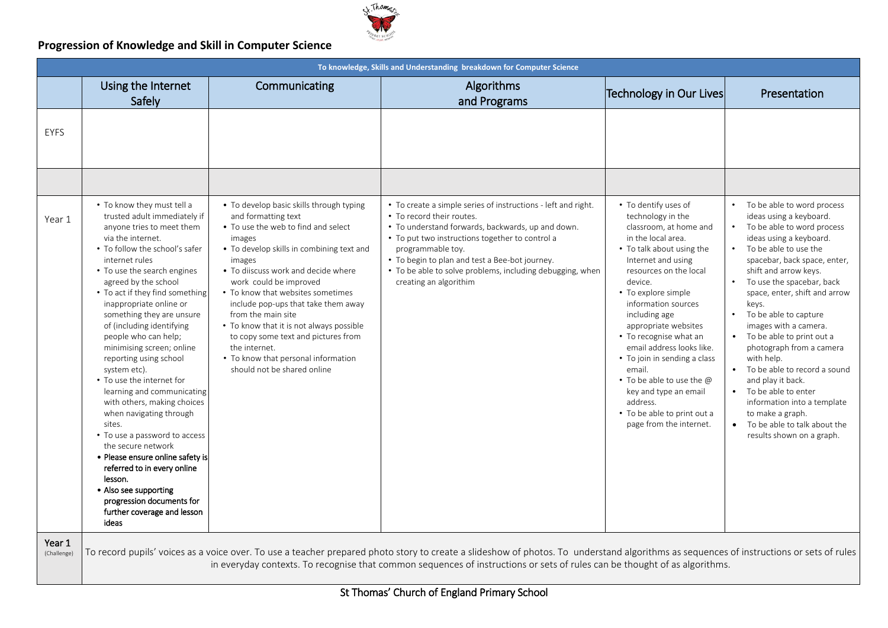

|                       | To knowledge, Skills and Understanding breakdown for Computer Science                                                                                                                                                                                                                                                                                                                                                                                                                                                                                                                                                                                                                                                                                                                                            |                                                                                                                                                                                                                                                                                                                                                                                                                                                                                                                      |                                                                                                                                                                                                                                                                                                                                                                  |                                                                                                                                                                                                                                                                                                                                                                                                                                                                                                       |                                                                                                                                                                                                                                                                                                                                                                                                                                                                                                                                                                                                                         |  |
|-----------------------|------------------------------------------------------------------------------------------------------------------------------------------------------------------------------------------------------------------------------------------------------------------------------------------------------------------------------------------------------------------------------------------------------------------------------------------------------------------------------------------------------------------------------------------------------------------------------------------------------------------------------------------------------------------------------------------------------------------------------------------------------------------------------------------------------------------|----------------------------------------------------------------------------------------------------------------------------------------------------------------------------------------------------------------------------------------------------------------------------------------------------------------------------------------------------------------------------------------------------------------------------------------------------------------------------------------------------------------------|------------------------------------------------------------------------------------------------------------------------------------------------------------------------------------------------------------------------------------------------------------------------------------------------------------------------------------------------------------------|-------------------------------------------------------------------------------------------------------------------------------------------------------------------------------------------------------------------------------------------------------------------------------------------------------------------------------------------------------------------------------------------------------------------------------------------------------------------------------------------------------|-------------------------------------------------------------------------------------------------------------------------------------------------------------------------------------------------------------------------------------------------------------------------------------------------------------------------------------------------------------------------------------------------------------------------------------------------------------------------------------------------------------------------------------------------------------------------------------------------------------------------|--|
|                       | Using the Internet<br>Safely                                                                                                                                                                                                                                                                                                                                                                                                                                                                                                                                                                                                                                                                                                                                                                                     | Communicating                                                                                                                                                                                                                                                                                                                                                                                                                                                                                                        | Algorithms<br>and Programs                                                                                                                                                                                                                                                                                                                                       | Technology in Our Lives                                                                                                                                                                                                                                                                                                                                                                                                                                                                               | Presentation                                                                                                                                                                                                                                                                                                                                                                                                                                                                                                                                                                                                            |  |
| <b>EYFS</b>           |                                                                                                                                                                                                                                                                                                                                                                                                                                                                                                                                                                                                                                                                                                                                                                                                                  |                                                                                                                                                                                                                                                                                                                                                                                                                                                                                                                      |                                                                                                                                                                                                                                                                                                                                                                  |                                                                                                                                                                                                                                                                                                                                                                                                                                                                                                       |                                                                                                                                                                                                                                                                                                                                                                                                                                                                                                                                                                                                                         |  |
|                       |                                                                                                                                                                                                                                                                                                                                                                                                                                                                                                                                                                                                                                                                                                                                                                                                                  |                                                                                                                                                                                                                                                                                                                                                                                                                                                                                                                      |                                                                                                                                                                                                                                                                                                                                                                  |                                                                                                                                                                                                                                                                                                                                                                                                                                                                                                       |                                                                                                                                                                                                                                                                                                                                                                                                                                                                                                                                                                                                                         |  |
| Year 1                | . To know they must tell a<br>trusted adult immediately if<br>anyone tries to meet them<br>via the internet.<br>• To follow the school's safer<br>internet rules<br>• To use the search engines<br>agreed by the school<br>• To act if they find something<br>inappropriate online or<br>something they are unsure<br>of (including identifying<br>people who can help;<br>minimising screen; online<br>reporting using school<br>system etc).<br>• To use the internet for<br>learning and communicating<br>with others, making choices<br>when navigating through<br>sites.<br>• To use a password to access<br>the secure network<br>• Please ensure online safety is<br>referred to in every online<br>lesson.<br>• Also see supporting<br>progression documents for<br>further coverage and lesson<br>ideas | • To develop basic skills through typing<br>and formatting text<br>• To use the web to find and select<br>images<br>• To develop skills in combining text and<br>images<br>. To diiscuss work and decide where<br>work could be improved<br>• To know that websites sometimes<br>include pop-ups that take them away<br>from the main site<br>• To know that it is not always possible<br>to copy some text and pictures from<br>the internet.<br>• To know that personal information<br>should not be shared online | • To create a simple series of instructions - left and right.<br>• To record their routes.<br>• To understand forwards, backwards, up and down.<br>• To put two instructions together to control a<br>programmable toy.<br>• To begin to plan and test a Bee-bot journey.<br>• To be able to solve problems, including debugging, when<br>creating an algorithim | • To dentify uses of<br>technology in the<br>classroom, at home and<br>in the local area.<br>• To talk about using the<br>Internet and using<br>resources on the local<br>device.<br>• To explore simple<br>information sources<br>including age<br>appropriate websites<br>• To recognise what an<br>email address looks like.<br>• To join in sending a class<br>email.<br>• To be able to use the @<br>key and type an email<br>address.<br>• To be able to print out a<br>page from the internet. | • To be able to word process<br>ideas using a keyboard.<br>• To be able to word process<br>ideas using a keyboard.<br>To be able to use the<br>spacebar, back space, enter,<br>shift and arrow keys.<br>To use the spacebar, back<br>$\bullet$<br>space, enter, shift and arrow<br>keys.<br>• To be able to capture<br>images with a camera.<br>• To be able to print out a<br>photograph from a camera<br>with help.<br>• To be able to record a sound<br>and play it back.<br>• To be able to enter<br>information into a template<br>to make a graph.<br>• To be able to talk about the<br>results shown on a graph. |  |
| Year 1<br>(Challenge) |                                                                                                                                                                                                                                                                                                                                                                                                                                                                                                                                                                                                                                                                                                                                                                                                                  |                                                                                                                                                                                                                                                                                                                                                                                                                                                                                                                      | To record pupils' voices as a voice over. To use a teacher prepared photo story to create a slideshow of photos. To understand algorithms as sequences of instructions or sets of rules<br>in everyday contexts. To recognise that common sequences of instructions or sets of rules can be thought of as algorithms.                                            |                                                                                                                                                                                                                                                                                                                                                                                                                                                                                                       |                                                                                                                                                                                                                                                                                                                                                                                                                                                                                                                                                                                                                         |  |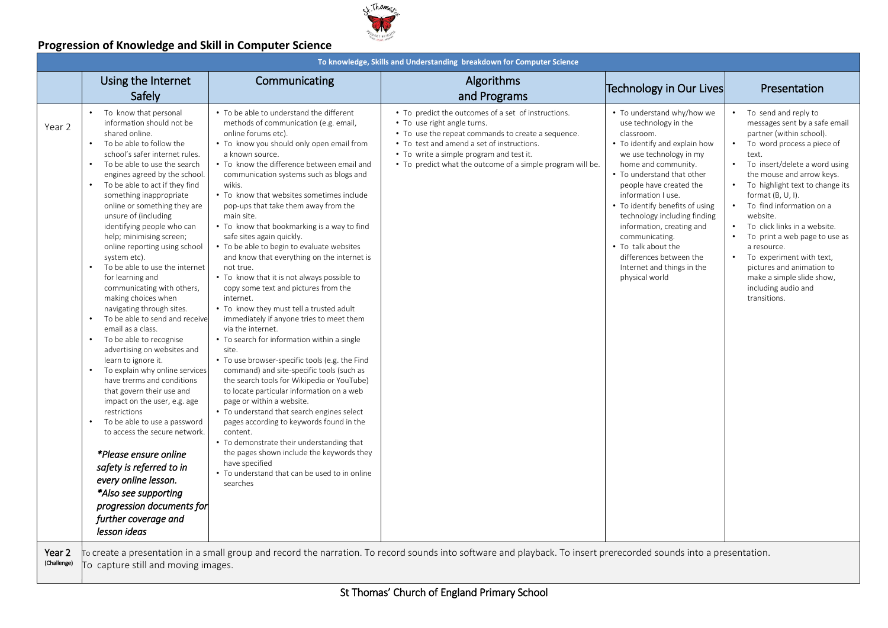

|                       | To knowledge, Skills and Understanding breakdown for Computer Science                                                                                                                                                                                                                                                                                                                                                                                                                                                                                                                                                                                                                                                                                                                                                                                                                                                                                                                                                                                                                                                    |                                                                                                                                                                                                                                                                                                                                                                                                                                                                                                                                                                                                                                                                                                                                                                                                                                                                                                                                                                                                                                                                                                                                                                                                                                                                                                                                                     |                                                                                                                                                                                                                                                                                                  |                                                                                                                                                                                                                                                                                                                                                                                                                                                         |                                                                                                                                                                                                                                                                                                                                                                                                                                                                                                        |
|-----------------------|--------------------------------------------------------------------------------------------------------------------------------------------------------------------------------------------------------------------------------------------------------------------------------------------------------------------------------------------------------------------------------------------------------------------------------------------------------------------------------------------------------------------------------------------------------------------------------------------------------------------------------------------------------------------------------------------------------------------------------------------------------------------------------------------------------------------------------------------------------------------------------------------------------------------------------------------------------------------------------------------------------------------------------------------------------------------------------------------------------------------------|-----------------------------------------------------------------------------------------------------------------------------------------------------------------------------------------------------------------------------------------------------------------------------------------------------------------------------------------------------------------------------------------------------------------------------------------------------------------------------------------------------------------------------------------------------------------------------------------------------------------------------------------------------------------------------------------------------------------------------------------------------------------------------------------------------------------------------------------------------------------------------------------------------------------------------------------------------------------------------------------------------------------------------------------------------------------------------------------------------------------------------------------------------------------------------------------------------------------------------------------------------------------------------------------------------------------------------------------------------|--------------------------------------------------------------------------------------------------------------------------------------------------------------------------------------------------------------------------------------------------------------------------------------------------|---------------------------------------------------------------------------------------------------------------------------------------------------------------------------------------------------------------------------------------------------------------------------------------------------------------------------------------------------------------------------------------------------------------------------------------------------------|--------------------------------------------------------------------------------------------------------------------------------------------------------------------------------------------------------------------------------------------------------------------------------------------------------------------------------------------------------------------------------------------------------------------------------------------------------------------------------------------------------|
|                       | Using the Internet<br>Safely                                                                                                                                                                                                                                                                                                                                                                                                                                                                                                                                                                                                                                                                                                                                                                                                                                                                                                                                                                                                                                                                                             | Communicating                                                                                                                                                                                                                                                                                                                                                                                                                                                                                                                                                                                                                                                                                                                                                                                                                                                                                                                                                                                                                                                                                                                                                                                                                                                                                                                                       | Algorithms<br>and Programs                                                                                                                                                                                                                                                                       | Technology in Our Lives                                                                                                                                                                                                                                                                                                                                                                                                                                 | Presentation                                                                                                                                                                                                                                                                                                                                                                                                                                                                                           |
| Year 2                | To know that personal<br>information should not be<br>shared online.<br>To be able to follow the<br>$\bullet$<br>school's safer internet rules.<br>To be able to use the search<br>engines agreed by the school.<br>To be able to act if they find<br>something inappropriate<br>online or something they are<br>unsure of (including<br>identifying people who can<br>help; minimising screen;<br>online reporting using school<br>system etc).<br>To be able to use the internet<br>for learning and<br>communicating with others,<br>making choices when<br>navigating through sites.<br>To be able to send and receive<br>email as a class.<br>To be able to recognise<br>advertising on websites and<br>learn to ignore it.<br>To explain why online services<br>have trerms and conditions<br>that govern their use and<br>impact on the user, e.g. age<br>restrictions<br>To be able to use a password<br>to access the secure network.<br>*Please ensure online<br>safety is referred to in<br>every online lesson.<br>*Also see supporting<br>progression documents for<br>further coverage and<br>lesson ideas | • To be able to understand the different<br>methods of communication (e.g. email,<br>online forums etc).<br>• To know you should only open email from<br>a known source.<br>• To know the difference between email and<br>communication systems such as blogs and<br>wikis.<br>• To know that websites sometimes include<br>pop-ups that take them away from the<br>main site.<br>• To know that bookmarking is a way to find<br>safe sites again quickly.<br>• To be able to begin to evaluate websites<br>and know that everything on the internet is<br>not true.<br>• To know that it is not always possible to<br>copy some text and pictures from the<br>internet.<br>• To know they must tell a trusted adult<br>immediately if anyone tries to meet them<br>via the internet.<br>• To search for information within a single<br>site.<br>• To use browser-specific tools (e.g. the Find<br>command) and site-specific tools (such as<br>the search tools for Wikipedia or YouTube)<br>to locate particular information on a web<br>page or within a website.<br>• To understand that search engines select<br>pages according to keywords found in the<br>content.<br>• To demonstrate their understanding that<br>the pages shown include the keywords they<br>have specified<br>• To understand that can be used to in online<br>searches | • To predict the outcomes of a set of instructions.<br>• To use right angle turns.<br>• To use the repeat commands to create a sequence.<br>• To test and amend a set of instructions.<br>• To write a simple program and test it.<br>• To predict what the outcome of a simple program will be. | • To understand why/how we<br>use technology in the<br>classroom.<br>• To identify and explain how<br>we use technology in my<br>home and community.<br>• To understand that other<br>people have created the<br>information I use.<br>• To identify benefits of using<br>technology including finding<br>information, creating and<br>communicating.<br>• To talk about the<br>differences between the<br>Internet and things in the<br>physical world | To send and reply to<br>messages sent by a safe email<br>partner (within school).<br>To word process a piece of<br>text.<br>To insert/delete a word using<br>the mouse and arrow keys.<br>To highlight text to change its<br>format $(B, U, I)$ .<br>To find information on a<br>website.<br>To click links in a website.<br>To print a web page to use as<br>a resource.<br>To experiment with text,<br>pictures and animation to<br>make a simple slide show,<br>including audio and<br>transitions. |
| Year 2<br>(Challenge) | To capture still and moving images.                                                                                                                                                                                                                                                                                                                                                                                                                                                                                                                                                                                                                                                                                                                                                                                                                                                                                                                                                                                                                                                                                      |                                                                                                                                                                                                                                                                                                                                                                                                                                                                                                                                                                                                                                                                                                                                                                                                                                                                                                                                                                                                                                                                                                                                                                                                                                                                                                                                                     | To create a presentation in a small group and record the narration. To record sounds into software and playback. To insert prerecorded sounds into a presentation.                                                                                                                               |                                                                                                                                                                                                                                                                                                                                                                                                                                                         |                                                                                                                                                                                                                                                                                                                                                                                                                                                                                                        |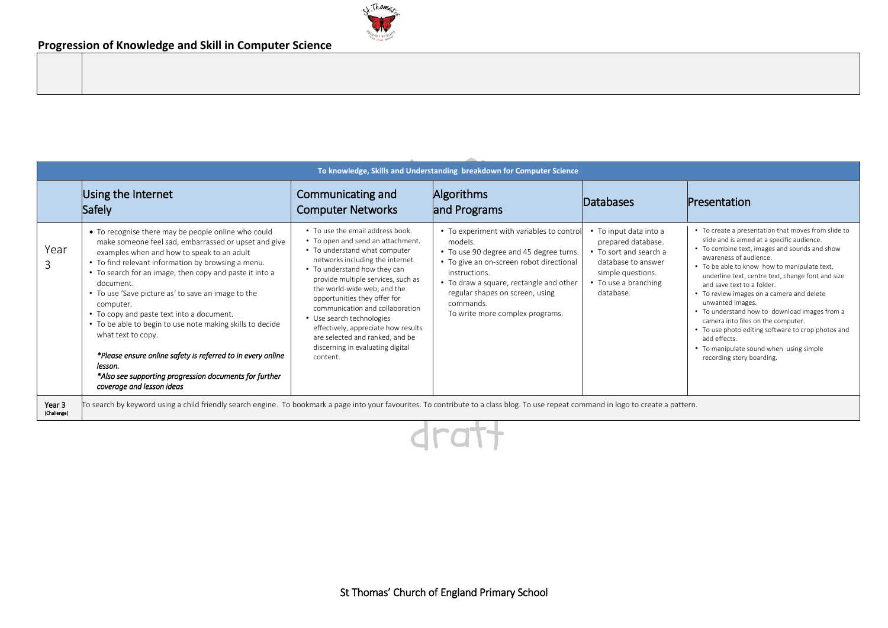

|                       | To knowledge, Skills and Understanding breakdown for Computer Science                                                                                                                                                                                                                                                                                                                                                                                                                                                                                                                                                                                       |                                                                                                                                                                                                                                                                                                                                                                                                                                                                          |                                                                                                                                                                                                                                                                                            |                                                                                                                                                        |                                                                                                                                                                                                                                                                                                                                                                                                                                                                                                                                                                                                                       |  |
|-----------------------|-------------------------------------------------------------------------------------------------------------------------------------------------------------------------------------------------------------------------------------------------------------------------------------------------------------------------------------------------------------------------------------------------------------------------------------------------------------------------------------------------------------------------------------------------------------------------------------------------------------------------------------------------------------|--------------------------------------------------------------------------------------------------------------------------------------------------------------------------------------------------------------------------------------------------------------------------------------------------------------------------------------------------------------------------------------------------------------------------------------------------------------------------|--------------------------------------------------------------------------------------------------------------------------------------------------------------------------------------------------------------------------------------------------------------------------------------------|--------------------------------------------------------------------------------------------------------------------------------------------------------|-----------------------------------------------------------------------------------------------------------------------------------------------------------------------------------------------------------------------------------------------------------------------------------------------------------------------------------------------------------------------------------------------------------------------------------------------------------------------------------------------------------------------------------------------------------------------------------------------------------------------|--|
|                       | Using the Internet<br>Safely                                                                                                                                                                                                                                                                                                                                                                                                                                                                                                                                                                                                                                | Communicating and<br><b>Computer Networks</b>                                                                                                                                                                                                                                                                                                                                                                                                                            | <b>Algorithms</b><br>and Programs                                                                                                                                                                                                                                                          | Databases                                                                                                                                              | Presentation                                                                                                                                                                                                                                                                                                                                                                                                                                                                                                                                                                                                          |  |
| Year<br>3             | • To recognise there may be people online who could<br>make someone feel sad, embarrassed or upset and give<br>examples when and how to speak to an adult<br>• To find relevant information by browsing a menu.<br>• To search for an image, then copy and paste it into a<br>document.<br>• To use 'Save picture as' to save an image to the<br>computer.<br>• To copy and paste text into a document.<br>• To be able to begin to use note making skills to decide<br>what text to copy.<br>*Please ensure online safety is referred to in every online<br>lesson.<br>*Also see supporting progression documents for further<br>coverage and lesson ideas | • To use the email address book.<br>• To open and send an attachment.<br>• To understand what computer<br>networks including the internet<br>• To understand how they can<br>provide multiple services, such as<br>the world-wide web; and the<br>opportunities they offer for<br>communication and collaboration<br>• Use search technologies<br>effectively, appreciate how results<br>are selected and ranked, and be<br>discerning in evaluating digital<br>content. | • To experiment with variables to control<br>models.<br>• To use 90 degree and 45 degree turns.<br>• To give an on-screen robot directional<br>instructions.<br>• To draw a square, rectangle and other<br>regular shapes on screen, using<br>commands.<br>To write more complex programs. | • To input data into a<br>prepared database.<br>• To sort and search a<br>database to answer<br>simple questions.<br>• To use a branching<br>database. | • To create a presentation that moves from slide to<br>slide and is aimed at a specific audience.<br>• To combine text, images and sounds and show<br>awareness of audience.<br>• To be able to know how to manipulate text,<br>underline text, centre text, change font and size<br>and save text to a folder.<br>• To review images on a camera and delete<br>unwanted images.<br>• To understand how to download images from a<br>camera into files on the computer.<br>• To use photo editing software to crop photos and<br>add effects.<br>• To manipulate sound when using simple<br>recording story boarding. |  |
| Year 3<br>(Challenge) | To search by keyword using a child friendly search engine. To bookmark a page into your favourites. To contribute to a class blog. To use repeat command in logo to create a pattern.                                                                                                                                                                                                                                                                                                                                                                                                                                                                       |                                                                                                                                                                                                                                                                                                                                                                                                                                                                          |                                                                                                                                                                                                                                                                                            |                                                                                                                                                        |                                                                                                                                                                                                                                                                                                                                                                                                                                                                                                                                                                                                                       |  |
|                       |                                                                                                                                                                                                                                                                                                                                                                                                                                                                                                                                                                                                                                                             |                                                                                                                                                                                                                                                                                                                                                                                                                                                                          |                                                                                                                                                                                                                                                                                            |                                                                                                                                                        |                                                                                                                                                                                                                                                                                                                                                                                                                                                                                                                                                                                                                       |  |

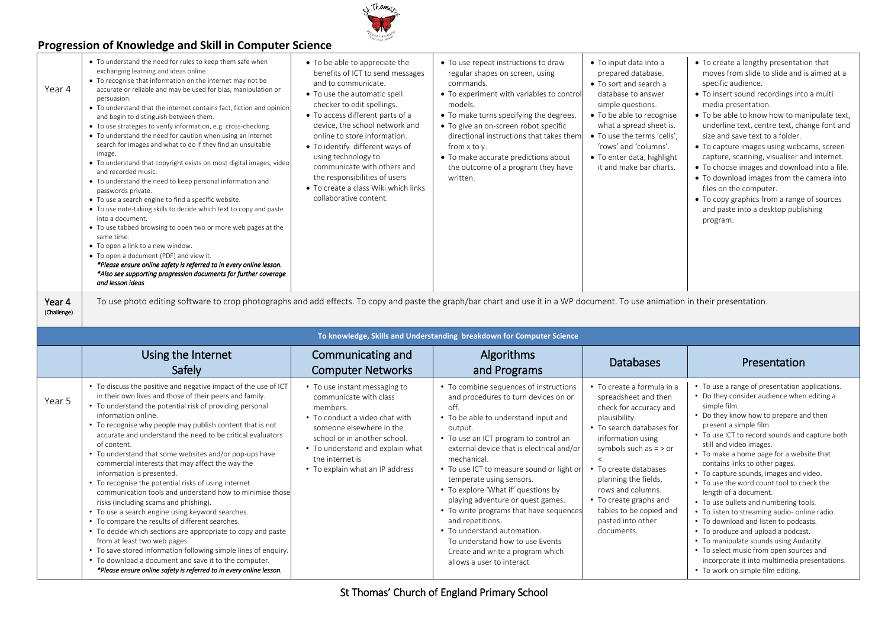

| Year 4                | • To understand the need for rules to keep them safe when<br>exchanging learning and ideas online.<br>• To recognise that information on the internet may not be<br>accurate or reliable and may be used for bias, manipulation or<br>persuasion.<br>• To understand that the internet contains fact, fiction and opinion<br>and begin to distinguish between them.<br>• To use strategies to verify information, e.g. cross-checking.<br>• To understand the need for caution when using an internet<br>search for images and what to do if they find an unsuitable<br>image.<br>• To understand that copyright exists on most digital images, video<br>and recorded music.<br>• To understand the need to keep personal information and<br>passwords private.<br>• To use a search engine to find a specific website.<br>• To use note-taking skills to decide which text to copy and paste<br>into a document.<br>• To use tabbed browsing to open two or more web pages at the<br>same time.<br>• To open a link to a new window.<br>• To open a document (PDF) and view it.<br>*Please ensure online safety is referred to in every online lesson.<br>*Also see supporting progression documents for further coverage<br>and lesson ideas | • To be able to appreciate the<br>benefits of ICT to send messages<br>and to communicate.<br>• To use the automatic spell<br>checker to edit spellings.<br>• To access different parts of a<br>device, the school network and<br>online to store information.<br>• To identify different ways of<br>using technology to<br>communicate with others and<br>the responsibilities of users<br>• To create a class Wiki which links<br>collaborative content. | • To use repeat instructions to draw<br>regular shapes on screen, using<br>commands.<br>• To experiment with variables to control<br>models.<br>• To make turns specifying the degrees.<br>• To give an on-screen robot specific<br>directional instructions that takes them<br>from x to y.<br>• To make accurate predictions about<br>the outcome of a program they have<br>written. | • To input data into a<br>prepared database.<br>• To sort and search a<br>database to answer<br>simple questions.<br>• To be able to recognise<br>what a spread sheet is.<br>• To use the terms 'cells',<br>'rows' and 'columns'.<br>• To enter data, highlight<br>it and make bar charts. | • To create a lengthy presentation that<br>moves from slide to slide and is aimed at a<br>specific audience.<br>• To insert sound recordings into a multi<br>media presentation.<br>• To be able to know how to manipulate text,<br>underline text, centre text, change font and<br>size and save text to a folder.<br>• To capture images using webcams, screen<br>capture, scanning, visualiser and internet.<br>• To choose images and download into a file.<br>• To download images from the camera into<br>files on the computer.<br>• To copy graphics from a range of sources<br>and paste into a desktop publishing<br>program. |
|-----------------------|------------------------------------------------------------------------------------------------------------------------------------------------------------------------------------------------------------------------------------------------------------------------------------------------------------------------------------------------------------------------------------------------------------------------------------------------------------------------------------------------------------------------------------------------------------------------------------------------------------------------------------------------------------------------------------------------------------------------------------------------------------------------------------------------------------------------------------------------------------------------------------------------------------------------------------------------------------------------------------------------------------------------------------------------------------------------------------------------------------------------------------------------------------------------------------------------------------------------------------------------|-----------------------------------------------------------------------------------------------------------------------------------------------------------------------------------------------------------------------------------------------------------------------------------------------------------------------------------------------------------------------------------------------------------------------------------------------------------|----------------------------------------------------------------------------------------------------------------------------------------------------------------------------------------------------------------------------------------------------------------------------------------------------------------------------------------------------------------------------------------|--------------------------------------------------------------------------------------------------------------------------------------------------------------------------------------------------------------------------------------------------------------------------------------------|-----------------------------------------------------------------------------------------------------------------------------------------------------------------------------------------------------------------------------------------------------------------------------------------------------------------------------------------------------------------------------------------------------------------------------------------------------------------------------------------------------------------------------------------------------------------------------------------------------------------------------------------|
|                       |                                                                                                                                                                                                                                                                                                                                                                                                                                                                                                                                                                                                                                                                                                                                                                                                                                                                                                                                                                                                                                                                                                                                                                                                                                                |                                                                                                                                                                                                                                                                                                                                                                                                                                                           |                                                                                                                                                                                                                                                                                                                                                                                        |                                                                                                                                                                                                                                                                                            |                                                                                                                                                                                                                                                                                                                                                                                                                                                                                                                                                                                                                                         |
| Year 4<br>(Challenge) | To use photo editing software to crop photographs and add effects. To copy and paste the graph/bar chart and use it in a WP document. To use animation in their presentation.                                                                                                                                                                                                                                                                                                                                                                                                                                                                                                                                                                                                                                                                                                                                                                                                                                                                                                                                                                                                                                                                  |                                                                                                                                                                                                                                                                                                                                                                                                                                                           |                                                                                                                                                                                                                                                                                                                                                                                        |                                                                                                                                                                                                                                                                                            |                                                                                                                                                                                                                                                                                                                                                                                                                                                                                                                                                                                                                                         |
|                       |                                                                                                                                                                                                                                                                                                                                                                                                                                                                                                                                                                                                                                                                                                                                                                                                                                                                                                                                                                                                                                                                                                                                                                                                                                                |                                                                                                                                                                                                                                                                                                                                                                                                                                                           | To knowledge, Skills and Understanding breakdown for Computer Science                                                                                                                                                                                                                                                                                                                  |                                                                                                                                                                                                                                                                                            |                                                                                                                                                                                                                                                                                                                                                                                                                                                                                                                                                                                                                                         |
|                       | Using the Internet<br>Safely                                                                                                                                                                                                                                                                                                                                                                                                                                                                                                                                                                                                                                                                                                                                                                                                                                                                                                                                                                                                                                                                                                                                                                                                                   | Communicating and<br><b>Computer Networks</b>                                                                                                                                                                                                                                                                                                                                                                                                             | Algorithms<br>and Programs                                                                                                                                                                                                                                                                                                                                                             | Databases                                                                                                                                                                                                                                                                                  | Presentation                                                                                                                                                                                                                                                                                                                                                                                                                                                                                                                                                                                                                            |

K. Thomas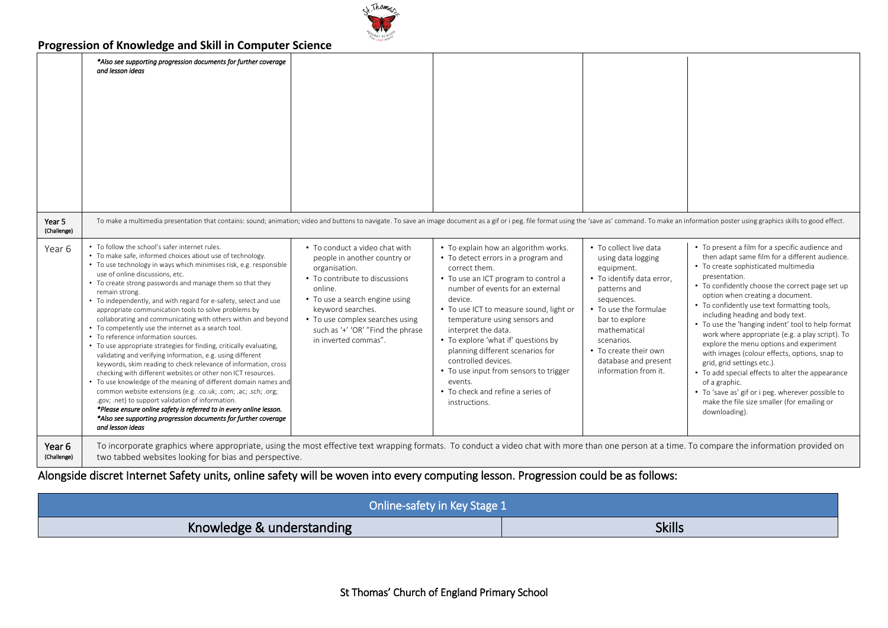

|                       | *Also see supporting progression documents for further coverage<br>and lesson ideas                                                                                                                                                                                                                                                                                                                                                                                                                                                                                                                                                                                                                                                                                                                                                                                                                                                                                                                                                                                                                                                                                                                                            |                                                                                                                                                                                                                                                                                     |                                                                                                                                                                                                                                                                                                                                                                                                                                                                                                     |                                                                                                                                                                                                                                                                         |                                                                                                                                                                                                                                                                                                                                                                                                                                                                                                                                                                                                                                                                                                                                                                  |
|-----------------------|--------------------------------------------------------------------------------------------------------------------------------------------------------------------------------------------------------------------------------------------------------------------------------------------------------------------------------------------------------------------------------------------------------------------------------------------------------------------------------------------------------------------------------------------------------------------------------------------------------------------------------------------------------------------------------------------------------------------------------------------------------------------------------------------------------------------------------------------------------------------------------------------------------------------------------------------------------------------------------------------------------------------------------------------------------------------------------------------------------------------------------------------------------------------------------------------------------------------------------|-------------------------------------------------------------------------------------------------------------------------------------------------------------------------------------------------------------------------------------------------------------------------------------|-----------------------------------------------------------------------------------------------------------------------------------------------------------------------------------------------------------------------------------------------------------------------------------------------------------------------------------------------------------------------------------------------------------------------------------------------------------------------------------------------------|-------------------------------------------------------------------------------------------------------------------------------------------------------------------------------------------------------------------------------------------------------------------------|------------------------------------------------------------------------------------------------------------------------------------------------------------------------------------------------------------------------------------------------------------------------------------------------------------------------------------------------------------------------------------------------------------------------------------------------------------------------------------------------------------------------------------------------------------------------------------------------------------------------------------------------------------------------------------------------------------------------------------------------------------------|
| Year 5<br>(Challenge) | To make a multimedia presentation that contains: sound; animation; video and buttons to navigate. To save an image document as a gif or i peg. file format using the 'save as' command. To make an information poster using gr                                                                                                                                                                                                                                                                                                                                                                                                                                                                                                                                                                                                                                                                                                                                                                                                                                                                                                                                                                                                 |                                                                                                                                                                                                                                                                                     |                                                                                                                                                                                                                                                                                                                                                                                                                                                                                                     |                                                                                                                                                                                                                                                                         |                                                                                                                                                                                                                                                                                                                                                                                                                                                                                                                                                                                                                                                                                                                                                                  |
| Year 6                | • To follow the school's safer internet rules.<br>• To make safe, informed choices about use of technology.<br>• To use technology in ways which minimises risk, e.g. responsible<br>use of online discussions, etc.<br>• To create strong passwords and manage them so that they<br>remain strong.<br>• To independently, and with regard for e-safety, select and use<br>appropriate communication tools to solve problems by<br>collaborating and communicating with others within and beyond<br>• To competently use the internet as a search tool.<br>• To reference information sources.<br>• To use appropriate strategies for finding, critically evaluating,<br>validating and verifying information, e.g. using different<br>keywords, skim reading to check relevance of information, cross<br>checking with different websites or other non ICT resources.<br>• To use knowledge of the meaning of different domain names and<br>common website extensions (e.g. .co.uk; .com; .ac; .sch; .org;<br>.gov; .net) to support validation of information.<br>*Please ensure online safety is referred to in every online lesson.<br>*Also see supporting progression documents for further coverage<br>and lesson ideas | • To conduct a video chat with<br>people in another country or<br>organisation.<br>• To contribute to discussions<br>online.<br>• To use a search engine using<br>keyword searches.<br>• To use complex searches using<br>such as '+' 'OR' "Find the phrase<br>in inverted commas". | • To explain how an algorithm works.<br>• To detect errors in a program and<br>correct them.<br>• To use an ICT program to control a<br>number of events for an external<br>device.<br>• To use ICT to measure sound, light or<br>temperature using sensors and<br>interpret the data.<br>• To explore 'what if' questions by<br>planning different scenarios for<br>controlled devices.<br>• To use input from sensors to trigger<br>events.<br>• To check and refine a series of<br>instructions. | • To collect live data<br>using data logging<br>equipment.<br>• To identify data error,<br>patterns and<br>sequences.<br>• To use the formulae<br>bar to explore<br>mathematical<br>scenarios.<br>• To create their own<br>database and present<br>information from it. | • To present a film for a specific audience and<br>then adapt same film for a different audience.<br>• To create sophisticated multimedia<br>presentation.<br>• To confidently choose the correct page set up<br>option when creating a document.<br>• To confidently use text formatting tools,<br>including heading and body text.<br>• To use the 'hanging indent' tool to help format<br>work where appropriate (e.g. a play script). To<br>explore the menu options and experiment<br>with images (colour effects, options, snap to<br>grid, grid settings etc.).<br>• To add special effects to alter the appearance<br>of a graphic.<br>• To 'save as' gif or i peg. wherever possible to<br>make the file size smaller (for emailing or<br>downloading). |
| Year 6<br>(Challenge) | To incorporate graphics where appropriate, using the most effective text wrapping formats. To conduct a video chat with more than one person at a time. To compare the information provided on<br>two tabbed websites looking for bias and perspective.                                                                                                                                                                                                                                                                                                                                                                                                                                                                                                                                                                                                                                                                                                                                                                                                                                                                                                                                                                        |                                                                                                                                                                                                                                                                                     |                                                                                                                                                                                                                                                                                                                                                                                                                                                                                                     |                                                                                                                                                                                                                                                                         |                                                                                                                                                                                                                                                                                                                                                                                                                                                                                                                                                                                                                                                                                                                                                                  |

Alongside discret Internet Safety units, online safety will be woven into every computing lesson. Progression could be as follows:

| Online-safety in Key Stage 1 |               |
|------------------------------|---------------|
| Knowledge & understanding    | <b>Skills</b> |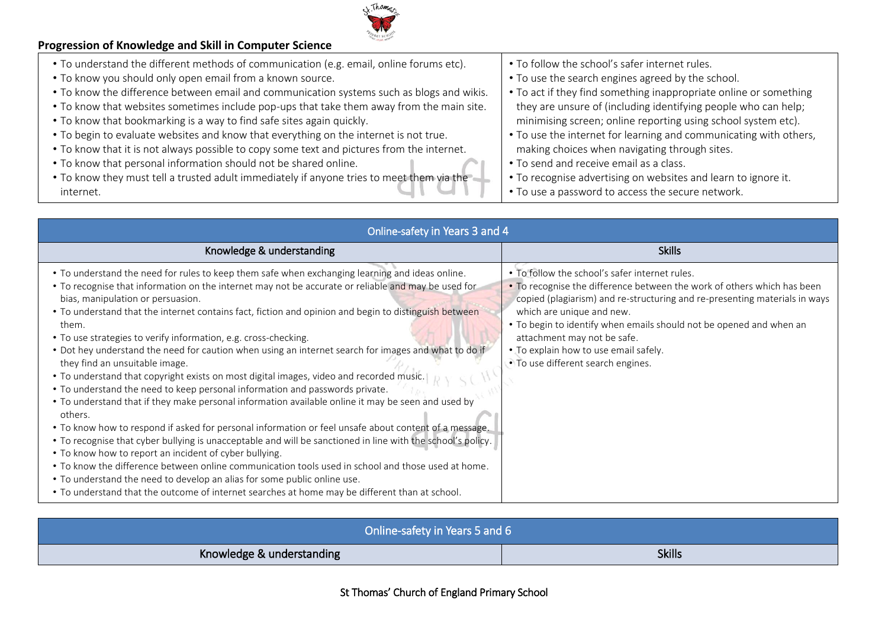

- To understand the different methods of communication (e.g. email, online forums etc).
- To know you should only open email from a known source.
- To know the difference between email and communication systems such as blogs and wikis.
- To know that websites sometimes include pop-ups that take them away from the main site.
- To know that bookmarking is a way to find safe sites again quickly.
- To begin to evaluate websites and know that everything on the internet is not true.
- To know that it is not always possible to copy some text and pictures from the internet.
- To know that personal information should not be shared online.
- To know they must tell a trusted adult immediately if anyone tries to meet them via the internet.
- To follow the school's safer internet rules.
- To use the search engines agreed by the school.
- To act if they find something inappropriate online or something they are unsure of (including identifying people who can help; minimising screen; online reporting using school system etc).
- To use the internet for learning and communicating with others, making choices when navigating through sites.
- To send and receive email as a class.
- To recognise advertising on websites and learn to ignore it.
- To use a password to access the secure network.

| Online-safety in Years 3 and 4                                                                                                                                                                                                                                                                                                                                                                                                                                                                                                                                                                                                                                                                                                                                                                                                                                                                                                                                                                                                                                                                                                                                                                                                                                                                                                                                                                                                               |                                                                                                                                                                                                                                                                                                                                                                                                                           |
|----------------------------------------------------------------------------------------------------------------------------------------------------------------------------------------------------------------------------------------------------------------------------------------------------------------------------------------------------------------------------------------------------------------------------------------------------------------------------------------------------------------------------------------------------------------------------------------------------------------------------------------------------------------------------------------------------------------------------------------------------------------------------------------------------------------------------------------------------------------------------------------------------------------------------------------------------------------------------------------------------------------------------------------------------------------------------------------------------------------------------------------------------------------------------------------------------------------------------------------------------------------------------------------------------------------------------------------------------------------------------------------------------------------------------------------------|---------------------------------------------------------------------------------------------------------------------------------------------------------------------------------------------------------------------------------------------------------------------------------------------------------------------------------------------------------------------------------------------------------------------------|
| Knowledge & understanding                                                                                                                                                                                                                                                                                                                                                                                                                                                                                                                                                                                                                                                                                                                                                                                                                                                                                                                                                                                                                                                                                                                                                                                                                                                                                                                                                                                                                    | <b>Skills</b>                                                                                                                                                                                                                                                                                                                                                                                                             |
| . To understand the need for rules to keep them safe when exchanging learning and ideas online.<br>• To recognise that information on the internet may not be accurate or reliable and may be used for<br>bias, manipulation or persuasion.<br>• To understand that the internet contains fact, fiction and opinion and begin to distinguish between<br>them.<br>• To use strategies to verify information, e.g. cross-checking.<br>• Dot hey understand the need for caution when using an internet search for images and what to do if<br>they find an unsuitable image.<br>. To understand that copyright exists on most digital images, video and recorded music.<br>. To understand the need to keep personal information and passwords private.<br>• To understand that if they make personal information available online it may be seen and used by<br>others.<br>• To know how to respond if asked for personal information or feel unsafe about content of a message.<br>• To recognise that cyber bullying is unacceptable and will be sanctioned in line with the school's policy.<br>• To know how to report an incident of cyber bullying.<br>• To know the difference between online communication tools used in school and those used at home.<br>. To understand the need to develop an alias for some public online use.<br>• To understand that the outcome of internet searches at home may be different than at school. | . To follow the school's safer internet rules.<br>. To recognise the difference between the work of others which has been<br>copied (plagiarism) and re-structuring and re-presenting materials in ways<br>which are unique and new.<br>• To begin to identify when emails should not be opened and when an<br>attachment may not be safe.<br>• To explain how to use email safely.<br>• To use different search engines. |

| Online-safety in Years 5 and 6 |               |  |
|--------------------------------|---------------|--|
| Knowledge & understanding      | <b>Skills</b> |  |